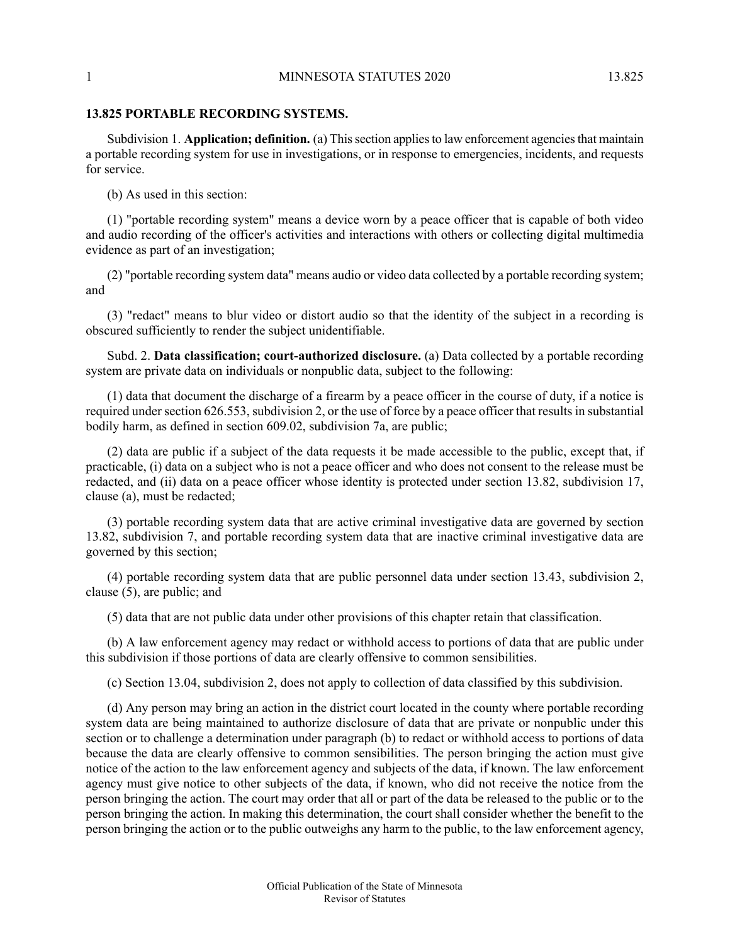## 1 MINNESOTA STATUTES 2020 13.825

## **13.825 PORTABLE RECORDING SYSTEMS.**

Subdivision 1. **Application; definition.** (a) This section applies to law enforcement agencies that maintain a portable recording system for use in investigations, or in response to emergencies, incidents, and requests for service.

(b) As used in this section:

(1) "portable recording system" means a device worn by a peace officer that is capable of both video and audio recording of the officer's activities and interactions with others or collecting digital multimedia evidence as part of an investigation;

(2) "portable recording system data" means audio or video data collected by a portable recording system; and

(3) "redact" means to blur video or distort audio so that the identity of the subject in a recording is obscured sufficiently to render the subject unidentifiable.

Subd. 2. **Data classification; court-authorized disclosure.** (a) Data collected by a portable recording system are private data on individuals or nonpublic data, subject to the following:

(1) data that document the discharge of a firearm by a peace officer in the course of duty, if a notice is required under section 626.553, subdivision 2, or the use of force by a peace officer that results in substantial bodily harm, as defined in section 609.02, subdivision 7a, are public;

(2) data are public if a subject of the data requests it be made accessible to the public, except that, if practicable, (i) data on a subject who is not a peace officer and who does not consent to the release must be redacted, and (ii) data on a peace officer whose identity is protected under section 13.82, subdivision 17, clause (a), must be redacted;

(3) portable recording system data that are active criminal investigative data are governed by section 13.82, subdivision 7, and portable recording system data that are inactive criminal investigative data are governed by this section;

(4) portable recording system data that are public personnel data under section 13.43, subdivision 2, clause (5), are public; and

(5) data that are not public data under other provisions of this chapter retain that classification.

(b) A law enforcement agency may redact or withhold access to portions of data that are public under this subdivision if those portions of data are clearly offensive to common sensibilities.

(c) Section 13.04, subdivision 2, does not apply to collection of data classified by this subdivision.

(d) Any person may bring an action in the district court located in the county where portable recording system data are being maintained to authorize disclosure of data that are private or nonpublic under this section or to challenge a determination under paragraph (b) to redact or withhold access to portions of data because the data are clearly offensive to common sensibilities. The person bringing the action must give notice of the action to the law enforcement agency and subjects of the data, if known. The law enforcement agency must give notice to other subjects of the data, if known, who did not receive the notice from the person bringing the action. The court may order that all or part of the data be released to the public or to the person bringing the action. In making this determination, the court shall consider whether the benefit to the person bringing the action or to the public outweighs any harm to the public, to the law enforcement agency,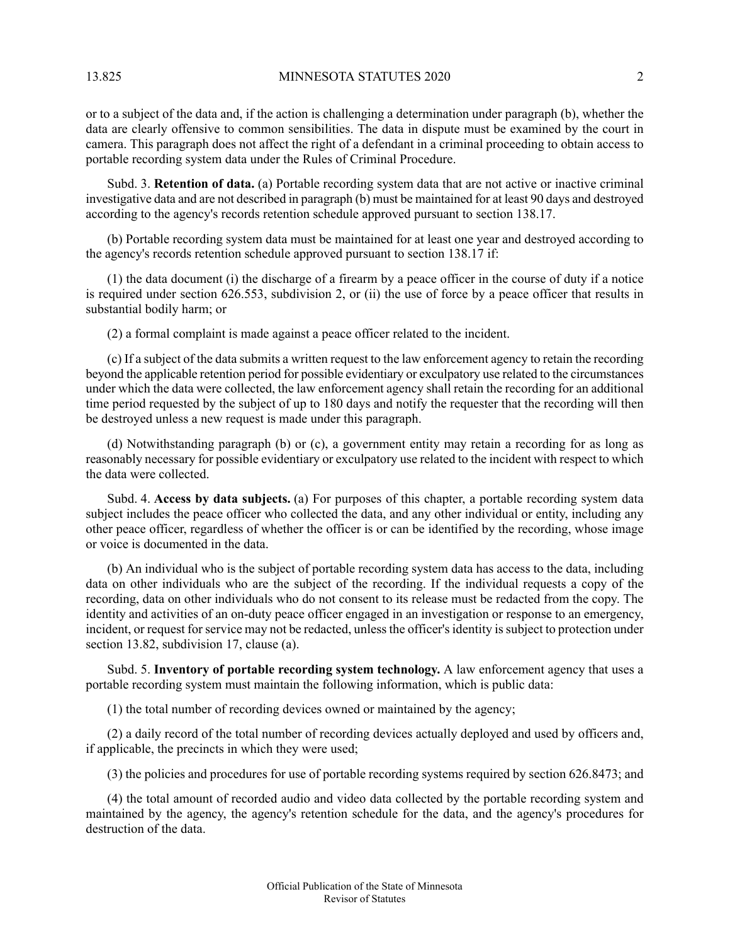13.825 MINNESOTA STATUTES 2020 2

or to a subject of the data and, if the action is challenging a determination under paragraph (b), whether the data are clearly offensive to common sensibilities. The data in dispute must be examined by the court in camera. This paragraph does not affect the right of a defendant in a criminal proceeding to obtain access to portable recording system data under the Rules of Criminal Procedure.

Subd. 3. **Retention of data.** (a) Portable recording system data that are not active or inactive criminal investigative data and are not described in paragraph (b) must be maintained for at least 90 days and destroyed according to the agency's records retention schedule approved pursuant to section 138.17.

(b) Portable recording system data must be maintained for at least one year and destroyed according to the agency's records retention schedule approved pursuant to section 138.17 if:

(1) the data document (i) the discharge of a firearm by a peace officer in the course of duty if a notice is required under section 626.553, subdivision 2, or (ii) the use of force by a peace officer that results in substantial bodily harm; or

(2) a formal complaint is made against a peace officer related to the incident.

(c) If a subject of the data submits a written request to the law enforcement agency to retain the recording beyond the applicable retention period for possible evidentiary or exculpatory use related to the circumstances under which the data were collected, the law enforcement agency shall retain the recording for an additional time period requested by the subject of up to 180 days and notify the requester that the recording will then be destroyed unless a new request is made under this paragraph.

(d) Notwithstanding paragraph (b) or (c), a government entity may retain a recording for as long as reasonably necessary for possible evidentiary or exculpatory use related to the incident with respect to which the data were collected.

Subd. 4. **Access by data subjects.** (a) For purposes of this chapter, a portable recording system data subject includes the peace officer who collected the data, and any other individual or entity, including any other peace officer, regardless of whether the officer is or can be identified by the recording, whose image or voice is documented in the data.

(b) An individual who is the subject of portable recording system data has access to the data, including data on other individuals who are the subject of the recording. If the individual requests a copy of the recording, data on other individuals who do not consent to its release must be redacted from the copy. The identity and activities of an on-duty peace officer engaged in an investigation or response to an emergency, incident, or request for service may not be redacted, unless the officer's identity is subject to protection under section 13.82, subdivision 17, clause (a).

Subd. 5. **Inventory of portable recording system technology.** A law enforcement agency that uses a portable recording system must maintain the following information, which is public data:

(1) the total number of recording devices owned or maintained by the agency;

(2) a daily record of the total number of recording devices actually deployed and used by officers and, if applicable, the precincts in which they were used;

(3) the policies and procedures for use of portable recording systems required by section 626.8473; and

(4) the total amount of recorded audio and video data collected by the portable recording system and maintained by the agency, the agency's retention schedule for the data, and the agency's procedures for destruction of the data.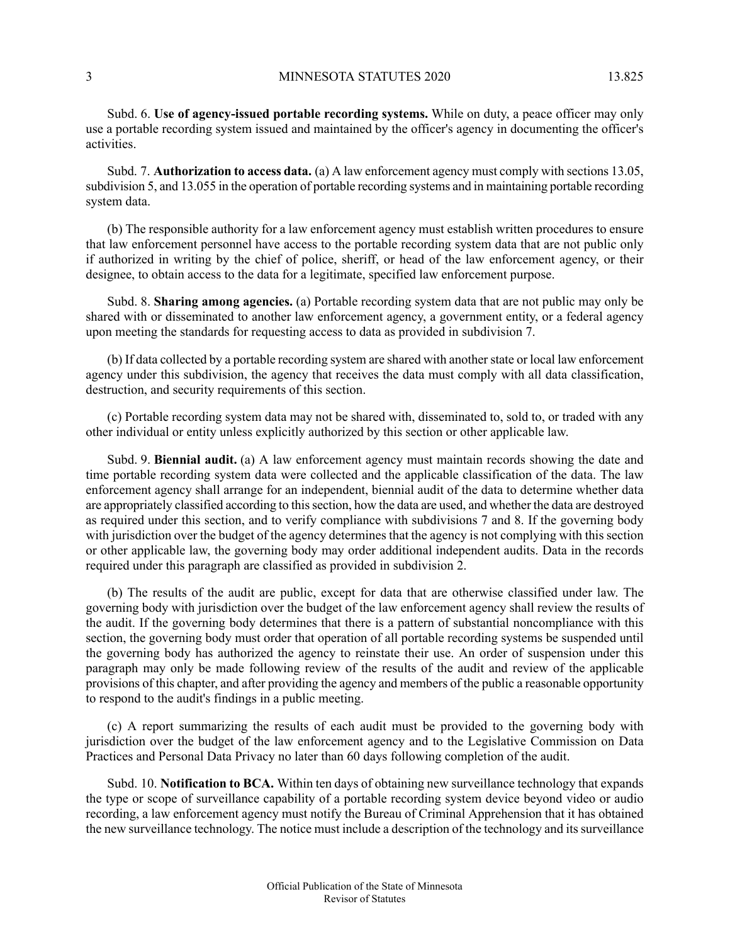Subd. 6. **Use of agency-issued portable recording systems.** While on duty, a peace officer may only use a portable recording system issued and maintained by the officer's agency in documenting the officer's activities.

Subd. 7. **Authorization to access data.** (a) A law enforcement agency must comply with sections 13.05, subdivision 5, and 13.055 in the operation of portable recording systems and in maintaining portable recording system data.

(b) The responsible authority for a law enforcement agency must establish written procedures to ensure that law enforcement personnel have access to the portable recording system data that are not public only if authorized in writing by the chief of police, sheriff, or head of the law enforcement agency, or their designee, to obtain access to the data for a legitimate, specified law enforcement purpose.

Subd. 8. **Sharing among agencies.** (a) Portable recording system data that are not public may only be shared with or disseminated to another law enforcement agency, a government entity, or a federal agency upon meeting the standards for requesting access to data as provided in subdivision 7.

(b) If data collected by a portable recording system are shared with another state or local law enforcement agency under this subdivision, the agency that receives the data must comply with all data classification, destruction, and security requirements of this section.

(c) Portable recording system data may not be shared with, disseminated to, sold to, or traded with any other individual or entity unless explicitly authorized by this section or other applicable law.

Subd. 9. **Biennial audit.** (a) A law enforcement agency must maintain records showing the date and time portable recording system data were collected and the applicable classification of the data. The law enforcement agency shall arrange for an independent, biennial audit of the data to determine whether data are appropriately classified according to this section, how the data are used, and whether the data are destroyed as required under this section, and to verify compliance with subdivisions 7 and 8. If the governing body with jurisdiction over the budget of the agency determines that the agency is not complying with this section or other applicable law, the governing body may order additional independent audits. Data in the records required under this paragraph are classified as provided in subdivision 2.

(b) The results of the audit are public, except for data that are otherwise classified under law. The governing body with jurisdiction over the budget of the law enforcement agency shall review the results of the audit. If the governing body determines that there is a pattern of substantial noncompliance with this section, the governing body must order that operation of all portable recording systems be suspended until the governing body has authorized the agency to reinstate their use. An order of suspension under this paragraph may only be made following review of the results of the audit and review of the applicable provisions of this chapter, and after providing the agency and members of the public a reasonable opportunity to respond to the audit's findings in a public meeting.

(c) A report summarizing the results of each audit must be provided to the governing body with jurisdiction over the budget of the law enforcement agency and to the Legislative Commission on Data Practices and Personal Data Privacy no later than 60 days following completion of the audit.

Subd. 10. **Notification to BCA.** Within ten days of obtaining new surveillance technology that expands the type or scope of surveillance capability of a portable recording system device beyond video or audio recording, a law enforcement agency must notify the Bureau of Criminal Apprehension that it has obtained the new surveillance technology. The notice must include a description of the technology and its surveillance